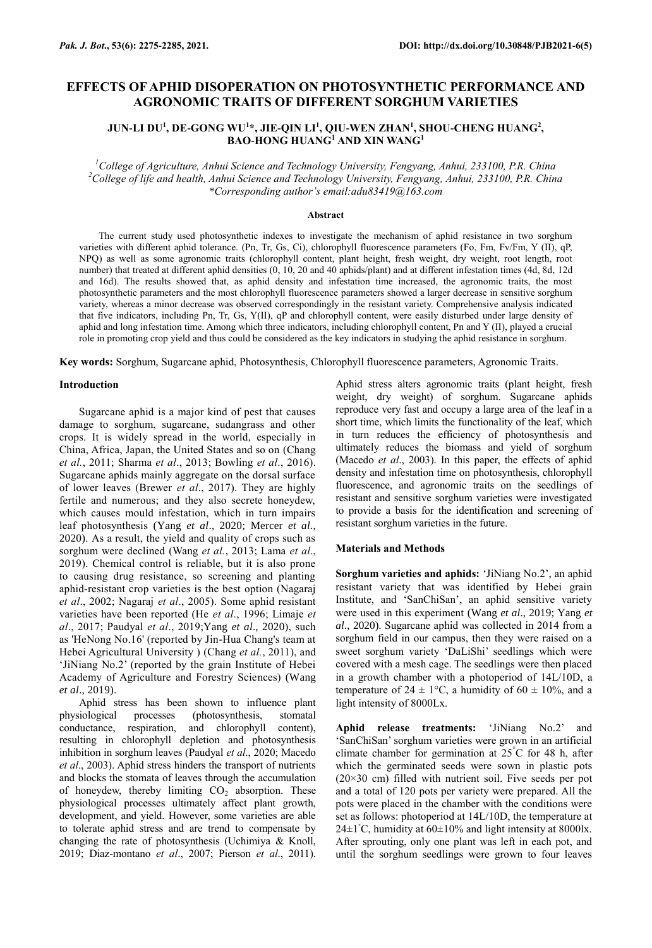# **EFFECTS OF APHID DISOPERATION ON PHOTOSYNTHETIC PERFORMANCE AND AGRONOMIC TRAITS OF DIFFERENT SORGHUM VARIETIES**

# **JUN-LI DU<sup>1</sup> , DE-GONG WU<sup>1</sup> \*, JIE-QIN LI<sup>1</sup> , QIU-WEN ZHAN<sup>1</sup> , SHOU-CHENG HUANG<sup>2</sup> , BAO-HONG HUANG<sup>1</sup> AND XIN WANG<sup>1</sup>**

*<sup>1</sup>College of Agriculture, Anhui Science and Technology University, Fengyang, Anhui, 233100, P.R. China <sup>2</sup>College of life and health, Anhui Science and Technology University, Fengyang, Anhui, 233100, P.R. China \*Corresponding author's email:adu83419@163.com*

#### **Abstract**

The current study used photosynthetic indexes to investigate the mechanism of aphid resistance in two sorghum varieties with different aphid tolerance. (Pn, Tr, Gs, Ci), chlorophyll fluorescence parameters (Fo, Fm, Fv/Fm, Y (II), qP, NPQ) as well as some agronomic traits (chlorophyll content, plant height, fresh weight, dry weight, root length, root number) that treated at different aphid densities (0, 10, 20 and 40 aphids/plant) and at different infestation times (4d, 8d, 12d and 16d). The results showed that, as aphid density and infestation time increased, the agronomic traits, the most photosynthetic parameters and the most chlorophyll fluorescence parameters showed a larger decrease in sensitive sorghum variety, whereas a minor decrease was observed correspondingly in the resistant variety. Comprehensive analysis indicated that five indicators, including Pn, Tr, Gs, Y(II), qP and chlorophyll content, were easily disturbed under large density of aphid and long infestation time. Among which three indicators, including chlorophyll content, Pn and Y (II), played a crucial role in promoting crop yield and thus could be considered as the key indicators in studying the aphid resistance in sorghum.

**Key words:** Sorghum, Sugarcane aphid, Photosynthesis, Chlorophyll fluorescence parameters, Agronomic Traits.

### **Introduction**

[Sugarcane aphid i](http://en.cnki.com.cn/Article_en/CJFDTOTAL-KCZS199903009.htm)s a major kind of pest that causes damage to sorghum, sugarcane, sudangrass and other crops. It is widely spread in the world, especially in China, Africa, Japan, the United States and so on (Chang *et al.*, 2011; Sharma *et al*., 2013; Bowling *et al*., 2016). Sugarcane aphids mainly aggregate on the dorsal surface of lower leaves (Brewer *et al*., 2017). They are highly fertile and numerous; and they also secrete honeydew, which causes mould infestation, which in turn impairs leaf photosynthesis (Yang *et al*., 2020; Mercer *et al.*, 2020). As a result, the yield and quality of crops such as sorghum were declined (Wang *et al.*, 2013; Lama *et al*., 2019). Chemical control is reliable, but it is also prone to causing drug resistance, so screening and planting aphid-resistant crop varieties is the best option (Nagaraj *et al*., 2002; Nagaraj *et al*., 2005). Some aphid resistant varieties have been reported (He *et al*., 1996; Limaje *et al*., 2017; Paudyal *et al*., 2019;Yang *et al*., 2020), such as 'HeNong No.16' (reported by Jin-Hua Chang's team at Hebei Agricultural University ) (Chang *et al.*, 2011), and 'JiNiang No.2' (reported by the grain Institute of Hebei Academy of Agriculture and Forestry Sciences) (Wang *et al*., 2019).

Aphid stress has been shown to influence plant physiological processes (photosynthesis, stomatal conductance, respiration, and chlorophyll content), resulting in chlorophyll depletion and photosynthesis inhibition in sorghum leaves (Paudyal *et al*., 2020; Macedo *et al*., 2003). Aphid stress hinders the transport of nutrients and blocks the stomata of leaves through the accumulation of honeydew, thereby limiting  $CO<sub>2</sub>$  absorption. These physiological processes ultimately affect plant growth, development, and yield. However, some varieties are able to tolerate aphid stress and are trend to compensate by changing the rate of photosynthesis (Uchimiya & Knoll, 2019; Diaz-montano *et al*., 2007; Pierson *et al*., 2011).

Aphid stress alters agronomic traits (plant height, fresh weight, dry weight) of sorghum. Sugarcane aphids reproduce very fast and occupy a large area of the leaf in a short time, which limits the functionality of the leaf, which in turn reduces the efficiency of photosynthesis and ultimately reduces the biomass and yield of sorghum (Macedo *et al*., 2003). In this paper, the effects of aphid density and infestation time on photosynthesis, chlorophyll fluorescence, and agronomic traits on the seedlings of resistant and sensitive sorghum varieties were investigated to provide a basis for the identification and screening of resistant sorghum varieties in the future.

#### **Materials and Methods**

**Sorghum varieties and aphids:** 'JiNiang No.2', an aphid resistant variety that was identified by Hebei grain Institute, and 'SanChiSan', an aphid sensitive variety were used in this experiment (Wang *et al*., 2019; Yang *et al*., 2020). Sugarcane aphid was collected in 2014 from a sorghum field in our campus, then they were raised on a sweet sorghum variety 'DaLiShi' seedlings which were covered with a mesh cage. The seedlings were then placed in a growth chamber with a photoperiod of 14L/10D, a temperature of  $24 \pm 1$ °C, a humidity of 60  $\pm$  10%, and a light intensity of 8000Lx.

**Aphid release treatments:** 'JiNiang No.2' and 'SanChiSan' sorghum varieties were grown in an artificial climate chamber for germination at  $25^{\circ}$ C for 48 h, after which the germinated seeds were sown in plastic pots (20×30 cm) filled with nutrient soil. Five seeds per pot and a total of 120 pots per variety were prepared. All the pots were placed in the chamber with the conditions were set as follows: photoperiod at 14L/10D, the temperature at 24±1 $°C$ , humidity at 60±10% and light intensity at 8000lx. After sprouting, only one plant was left in each pot, and until the sorghum seedlings were grown to four leaves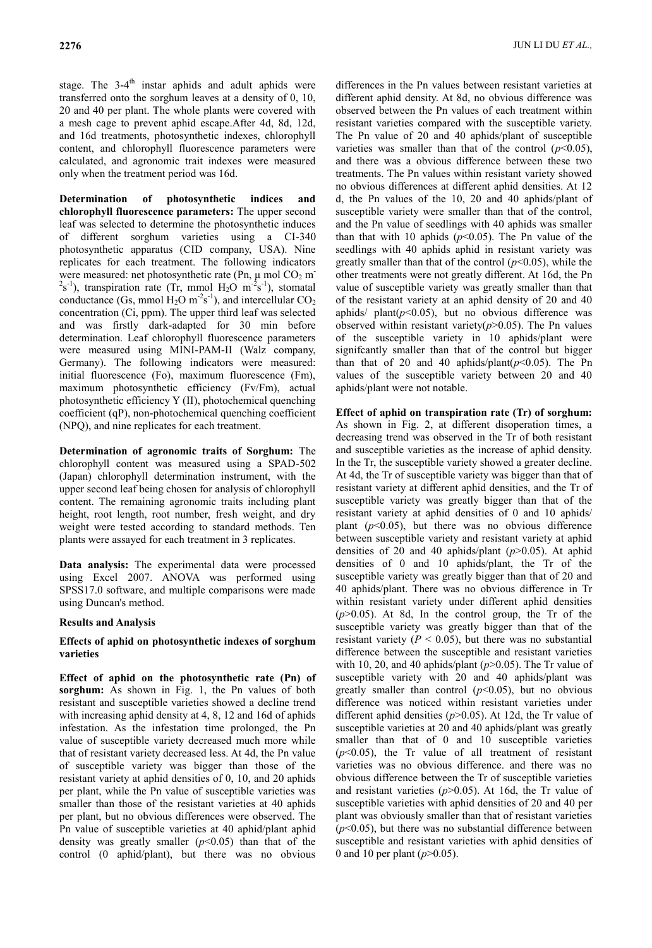stage. The 3-4<sup>th</sup> instar aphids and adult aphids were transferred onto the sorghum leaves at a density of 0, 10, 20 and 40 per plant. The whole plants were covered with a mesh cage to prevent aphid escape.After 4d, 8d, 12d, and 16d treatments, photosynthetic indexes, chlorophyll content, and chlorophyll fluorescence parameters were calculated, and agronomic trait indexes were measured only when the treatment period was 16d.

**Determination of photosynthetic indices and chlorophyll fluorescence parameters:** The upper second leaf was selected to determine the photosynthetic induces of different sorghum varieties using a CI-340 photosynthetic apparatus (CID company, USA). Nine replicates for each treatment. The following indicators were measured: net photosynthetic rate (Pn,  $\mu$  mol CO<sub>2</sub> m<sup>-</sup>  $2s^{-1}$ ), transpiration rate (Tr, mmol H<sub>2</sub>O m<sup>-2</sup>s<sup>-1</sup>), stomatal conductance (Gs, mmol  $H_2O$  m<sup>-2</sup>s<sup>-1</sup>), and intercellular  $CO_2$ concentration (Ci, ppm). The upper third leaf was selected and was firstly dark-adapted for 30 min before determination. Leaf chlorophyll fluorescence parameters were measured using MINI-PAM-II (Walz company, Germany). The following indicators were measured: initial fluorescence (Fo), maximum fluorescence (Fm), maximum photosynthetic efficiency (Fv/Fm), actual photosynthetic efficiency Y (II), photochemical quenching coefficient (qP), non-photochemical quenching coefficient (NPQ), and nine replicates for each treatment.

**Determination of agronomic traits of Sorghum:** The chlorophyll content was measured using a SPAD-502 (Japan) chlorophyll determination instrument, with the upper second leaf being chosen for analysis of chlorophyll content. The remaining agronomic traits including plant height, root length, root number, fresh weight, and dry weight were tested according to standard methods. Ten plants were assayed for each treatment in 3 replicates.

**Data analysis:** The experimental data were processed using Excel 2007. ANOVA was performed using SPSS17.0 software, and multiple comparisons were made using Duncan's method.

# **Results and Analysis**

### **Effects of aphid on photosynthetic indexes of sorghum varieties**

**Effect of aphid on the photosynthetic rate (Pn) of sorghum:** As shown in Fig. 1, the Pn values of both resistant and susceptible varieties showed a decline trend with increasing aphid density at 4, 8, 12 and 16d of aphids infestation. As the infestation time prolonged, the Pn value of susceptible variety decreased much more while that of resistant variety decreased less. At 4d, the Pn value of susceptible variety was bigger than those of the resistant variety at aphid densities of 0, 10, and 20 aphids per plant, while the Pn value of susceptible varieties was smaller than those of the resistant varieties at 40 aphids per plant, but no obvious differences were observed. The Pn value of susceptible varieties at 40 aphid/plant aphid density was greatly smaller  $(p<0.05)$  than that of the control (0 aphid/plant), but there was no obvious

differences in the Pn values between resistant varieties at different aphid density. At 8d, no obvious difference was observed between the Pn values of each treatment within resistant varieties compared with the susceptible variety. The Pn value of 20 and 40 aphids/plant of susceptible varieties was smaller than that of the control  $(p<0.05)$ , and there was a obvious difference between these two treatments. The Pn values within resistant variety showed no obvious differences at different aphid densities. At 12 d, the Pn values of the 10, 20 and 40 aphids/plant of susceptible variety were smaller than that of the control, and the Pn value of seedlings with 40 aphids was smaller than that with 10 aphids  $(p<0.05)$ . The Pn value of the seedlings with 40 aphids aphid in resistant variety was greatly smaller than that of the control  $(p<0.05)$ , while the other treatments were not greatly different. At 16d, the Pn value of susceptible variety was greatly smaller than that of the resistant variety at an aphid density of 20 and 40 aphids/  $plant(p<0.05)$ , but no obvious difference was observed within resistant variety( $p$ >0.05). The Pn values of the susceptible variety in 10 aphids/plant were signifcantly smaller than that of the control but bigger than that of 20 and 40 aphids/plant( $p$ <0.05). The Pn values of the susceptible variety between 20 and 40 aphids/plant were not notable.

**Effect of aphid on transpiration rate (Tr) of sorghum:** As shown in Fig. 2, at different disoperation times, a decreasing trend was observed in the Tr of both resistant and susceptible varieties as the increase of aphid density. In the Tr, the susceptible variety showed a greater decline. At 4d, the Tr of susceptible variety was bigger than that of resistant variety at different aphid densities, and the Tr of susceptible variety was greatly bigger than that of the resistant variety at aphid densities of 0 and 10 aphids/ plant  $(p<0.05)$ , but there was no obvious difference between susceptible variety and resistant variety at aphid densities of 20 and 40 aphids/plant (*p*>0.05). At aphid densities of 0 and 10 aphids/plant, the Tr of the susceptible variety was greatly bigger than that of 20 and 40 aphids/plant. There was no obvious difference in Tr within resistant variety under different aphid densities  $(p>0.05)$ . At 8d, In the control group, the Tr of the susceptible variety was greatly bigger than that of the resistant variety  $(P < 0.05)$ , but there was no substantial difference between the susceptible and resistant varieties with 10, 20, and 40 aphids/plant (*p*>0.05). The Tr value of susceptible variety with 20 and 40 aphids/plant was greatly smaller than control  $(p<0.05)$ , but no obvious difference was noticed within resistant varieties under different aphid densities (*p*>0.05). At 12d, the Tr value of susceptible varieties at 20 and 40 aphids/plant was greatly smaller than that of 0 and 10 susceptible varieties  $(p<0.05)$ , the Tr value of all treatment of resistant varieties was no obvious difference. and there was no obvious difference between the Tr of susceptible varieties and resistant varieties (*p*>0.05). At 16d, the Tr value of susceptible varieties with aphid densities of 20 and 40 per plant was obviously smaller than that of resistant varieties  $(p<0.05)$ , but there was no substantial difference between susceptible and resistant varieties with aphid densities of 0 and 10 per plant (*p*>0.05).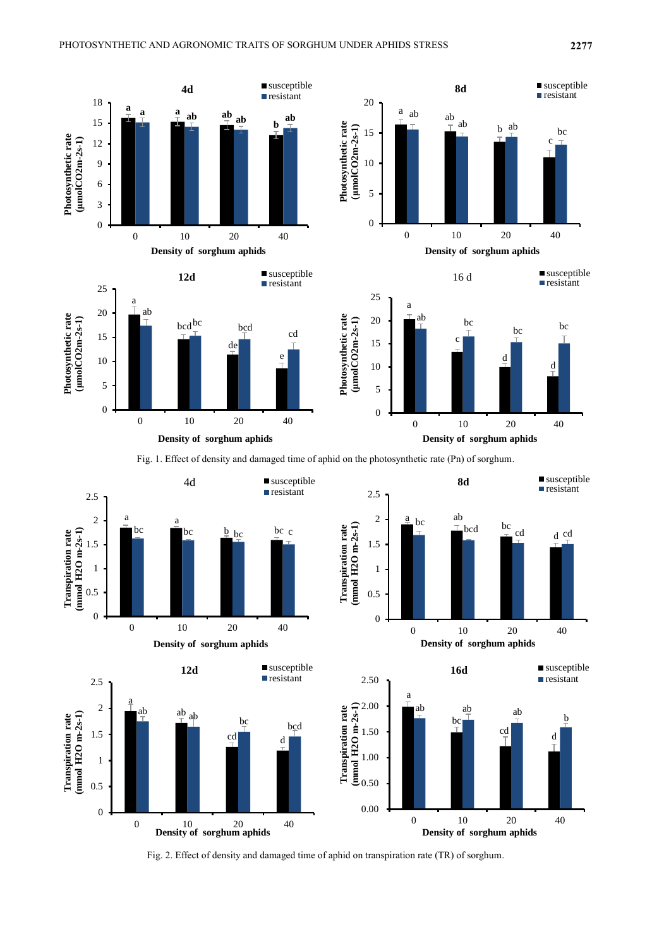

Fig. 1. Effect of density and damaged time of aphid on the photosynthetic rate (Pn) of sorghum.



Fig. 2. Effect of density and damaged time of aphid on transpiration rate (TR) of sorghum.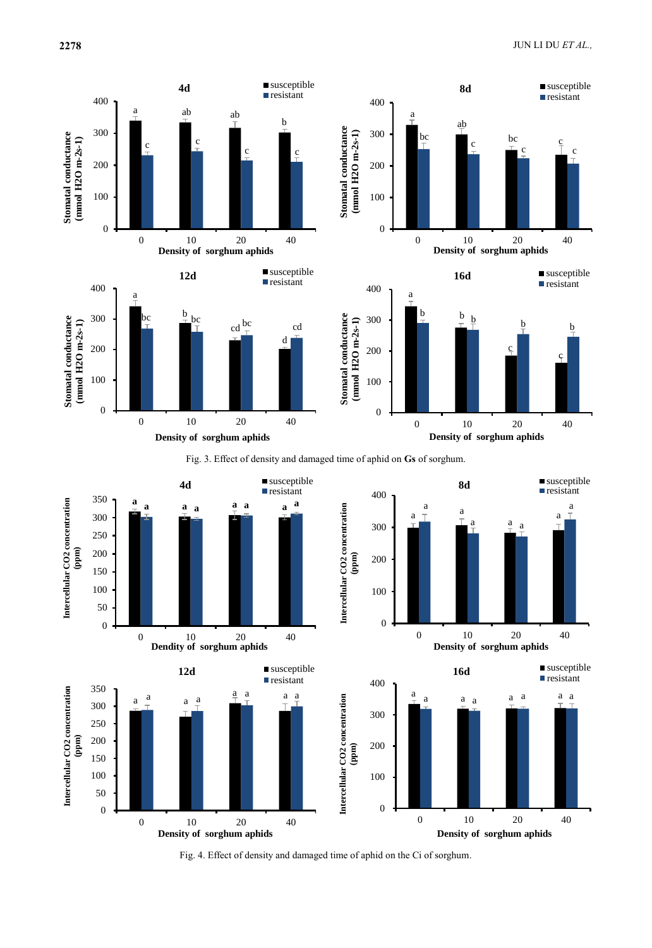

Fig. 3. Effect of density and damaged time of aphid on **Gs** of sorghum.



Fig. 4. Effect of density and damaged time of aphid on the Ci of sorghum.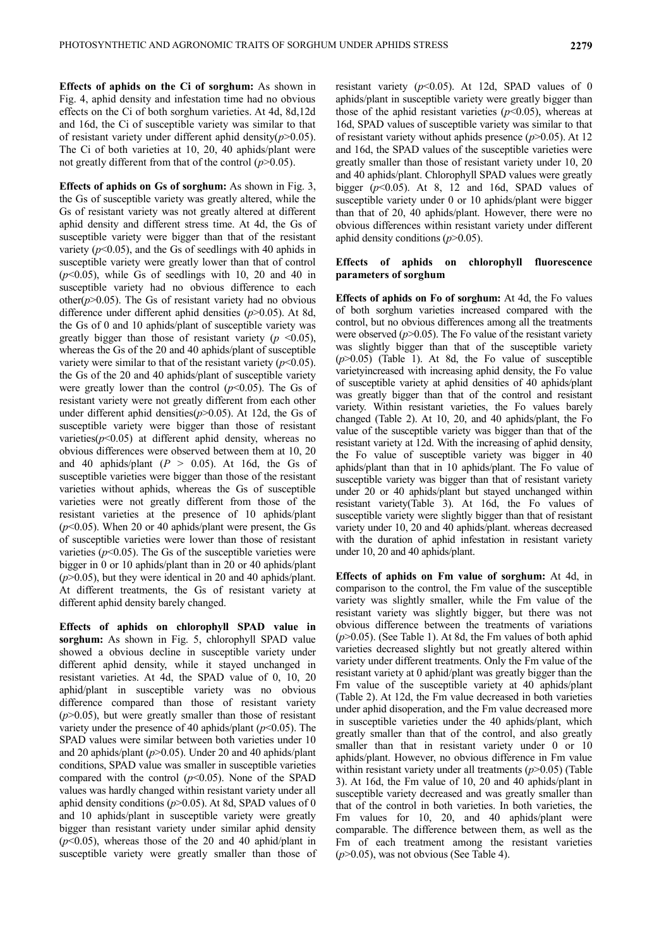**Effects of aphids on the Ci of sorghum:** As shown in Fig. 4, aphid density and infestation time had no obvious effects on the Ci of both sorghum varieties. At 4d, 8d,12d and 16d, the Ci of susceptible variety was similar to that of resistant variety under different aphid density(*p*>0.05). The Ci of both varieties at 10, 20, 40 aphids/plant were not greatly different from that of the control (*p*>0.05).

**Effects of aphids on Gs of sorghum:** As shown in Fig. 3, the Gs of susceptible variety was greatly altered, while the Gs of resistant variety was not greatly altered at different aphid density and different stress time. At 4d, the Gs of susceptible variety were bigger than that of the resistant variety  $(p<0.05)$ , and the Gs of seedlings with 40 aphids in susceptible variety were greatly lower than that of control  $(p<0.05)$ , while Gs of seedlings with 10, 20 and 40 in susceptible variety had no obvious difference to each other( $p$  $>$ 0.05). The Gs of resistant variety had no obvious difference under different aphid densities (*p*>0.05). At 8d, the Gs of 0 and 10 aphids/plant of susceptible variety was greatly bigger than those of resistant variety ( $p \le 0.05$ ), whereas the Gs of the 20 and 40 aphids/plant of susceptible variety were similar to that of the resistant variety  $(p<0.05)$ . the Gs of the 20 and 40 aphids/plant of susceptible variety were greatly lower than the control  $(p<0.05)$ . The Gs of resistant variety were not greatly different from each other under different aphid densities( $p$ >0.05). At 12d, the Gs of susceptible variety were bigger than those of resistant varieties( $p$ <0.05) at different aphid density, whereas no obvious differences were observed between them at 10, 20 and 40 aphids/plant  $(P > 0.05)$ . At 16d, the Gs of susceptible varieties were bigger than those of the resistant varieties without aphids, whereas the Gs of susceptible varieties were not greatly different from those of the resistant varieties at the presence of 10 aphids/plant (*p*<0.05). When 20 or 40 aphids/plant were present, the Gs of susceptible varieties were lower than those of resistant varieties  $(p<0.05)$ . The Gs of the susceptible varieties were bigger in 0 or 10 aphids/plant than in 20 or 40 aphids/plant (*p*>0.05), but they were identical in 20 and 40 aphids/plant. At different treatments, the Gs of resistant variety at different aphid density barely changed.

**Effects of aphids on chlorophyll SPAD value in sorghum:** As shown in Fig. 5, chlorophyll SPAD value showed a obvious decline in susceptible variety under different aphid density, while it stayed unchanged in resistant varieties. At 4d, the SPAD value of 0, 10, 20 aphid/plant in susceptible variety was no obvious difference compared than those of resistant variety  $(p>0.05)$ , but were greatly smaller than those of resistant variety under the presence of 40 aphids/plant  $(p<0.05)$ . The SPAD values were similar between both varieties under 10 and 20 aphids/plant (*p*>0.05). Under 20 and 40 aphids/plant conditions, SPAD value was smaller in susceptible varieties compared with the control  $(p<0.05)$ . None of the SPAD values was hardly changed within resistant variety under all aphid density conditions (*p*>0.05). At 8d, SPAD values of 0 and 10 aphids/plant in susceptible variety were greatly bigger than resistant variety under similar aphid density (*p*<0.05), whereas those of the 20 and 40 aphid/plant in susceptible variety were greatly smaller than those of resistant variety  $(p<0.05)$ . At 12d, SPAD values of 0 aphids/plant in susceptible variety were greatly bigger than those of the aphid resistant varieties  $(p<0.05)$ , whereas at 16d, SPAD values of susceptible variety was similar to that of resistant variety without aphids presence (*p*>0.05). At 12 and 16d, the SPAD values of the susceptible varieties were greatly smaller than those of resistant variety under 10, 20 and 40 aphids/plant. Chlorophyll SPAD values were greatly bigger (*p*<0.05). At 8, 12 and 16d, SPAD values of susceptible variety under 0 or 10 aphids/plant were bigger than that of 20, 40 aphids/plant. However, there were no obvious differences within resistant variety under different aphid density conditions (*p*>0.05).

### **Effects of aphids on chlorophyll fluorescence parameters of sorghum**

**Effects of aphids on Fo of sorghum:** At 4d, the Fo values of both sorghum varieties increased compared with the control, but no obvious differences among all the treatments were observed  $(p>0.05)$ . The Fo value of the resistant variety was slightly bigger than that of the susceptible variety (*p*>0.05) (Table 1). At 8d, the Fo value of susceptible varietyincreased with increasing aphid density, the Fo value of susceptible variety at aphid densities of 40 aphids/plant was greatly bigger than that of the control and resistant variety. Within resistant varieties, the Fo values barely changed (Table 2). At 10, 20, and 40 aphids/plant, the Fo value of the susceptible variety was bigger than that of the resistant variety at 12d. With the increasing of aphid density, the Fo value of susceptible variety was bigger in 40 aphids/plant than that in 10 aphids/plant. The Fo value of susceptible variety was bigger than that of resistant variety under 20 or 40 aphids/plant but stayed unchanged within resistant variety(Table 3). At 16d, the Fo values of susceptible variety were slightly bigger than that of resistant variety under 10, 20 and 40 aphids/plant. whereas decreased with the duration of aphid infestation in resistant variety under 10, 20 and 40 aphids/plant.

**Effects of aphids on Fm value of sorghum:** At 4d, in comparison to the control, the Fm value of the susceptible variety was slightly smaller, while the Fm value of the resistant variety was slightly bigger, but there was not obvious difference between the treatments of variations (*p*>0.05). (See Table 1). At 8d, the Fm values of both aphid varieties decreased slightly but not greatly altered within variety under different treatments. Only the Fm value of the resistant variety at 0 aphid/plant was greatly bigger than the Fm value of the susceptible variety at 40 aphids/plant (Table 2). At 12d, the Fm value decreased in both varieties under aphid disoperation, and the Fm value decreased more in susceptible varieties under the 40 aphids/plant, which greatly smaller than that of the control, and also greatly smaller than that in resistant variety under 0 or 10 aphids/plant. However, no obvious difference in Fm value within resistant variety under all treatments (*p*>0.05) (Table 3). At 16d, the Fm value of 10, 20 and 40 aphids/plant in susceptible variety decreased and was greatly smaller than that of the control in both varieties. In both varieties, the Fm values for 10, 20, and 40 aphids/plant were comparable. The difference between them, as well as the Fm of each treatment among the resistant varieties (*p*>0.05), was not obvious (See Table 4).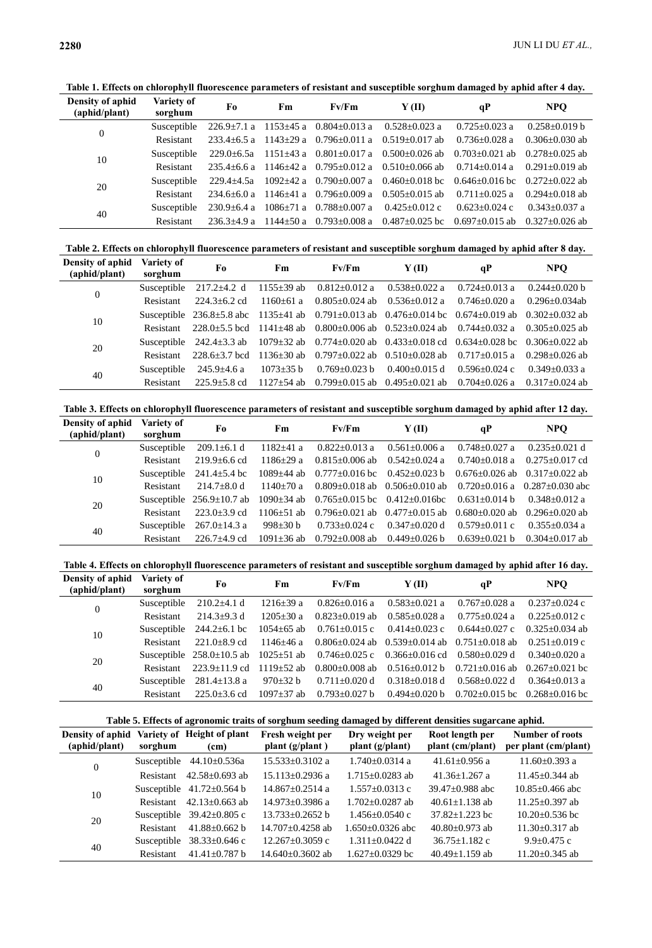**Table 1. Effects on chlorophyll fluorescence parameters of resistant and susceptible sorghum damaged by aphid after 4 day.**

| Density of aphid<br>(aphid/plant) | Variety of<br>sorghum | F0                | F <sub>m</sub> | Fv/Fm                               | Y(II)                                                                                                                                                                                                                                                                                                                                                                                                                                                                                                                                       | qP                 | NPO                |
|-----------------------------------|-----------------------|-------------------|----------------|-------------------------------------|---------------------------------------------------------------------------------------------------------------------------------------------------------------------------------------------------------------------------------------------------------------------------------------------------------------------------------------------------------------------------------------------------------------------------------------------------------------------------------------------------------------------------------------------|--------------------|--------------------|
| $\overline{0}$                    | Susceptible           |                   |                |                                     |                                                                                                                                                                                                                                                                                                                                                                                                                                                                                                                                             | $0.725 + 0.023$ a  | $0.258 + 0.019$ b  |
|                                   | <b>Resistant</b>      |                   |                |                                     |                                                                                                                                                                                                                                                                                                                                                                                                                                                                                                                                             | $0.736 + 0.028$ a  | $0.306 + 0.030$ ab |
| 10                                | Susceptible           |                   |                |                                     |                                                                                                                                                                                                                                                                                                                                                                                                                                                                                                                                             | $0.703 + 0.021$ ab | $0.278 + 0.025$ ab |
|                                   | <b>Resistant</b>      |                   |                |                                     | $226.9 \pm 7.1$ a $1153 \pm 45$ a $0.804 \pm 0.013$ a $0.528 \pm 0.023$ a<br>$233.4 \pm 6.5$ a $1143 \pm 29$ a $0.796 \pm 0.011$ a $0.519 \pm 0.017$ ab<br>229.0 $\pm$ 6.5a 1151 $\pm$ 43 a 0.801 $\pm$ 0.017 a 0.500 $\pm$ 0.026 ab<br>$235.4\pm 6.6$ a $1146\pm 42$ a $0.795\pm 0.012$ a $0.510\pm 0.066$ ab<br>$1092 \pm 42$ a $0.790 \pm 0.007$ a $0.460 \pm 0.018$ bc $0.646 \pm 0.016$ bc<br>$0.505+0.015$ ab<br>$0.425 \pm 0.012$ c<br>$236.3\pm4.9$ a 1144 $\pm$ 50 a 0.793 $\pm$ 0.008 a 0.487 $\pm$ 0.025 bc 0.697 $\pm$ 0.015 ab | $0.714 + 0.014$ a  | $0.291 + 0.019$ ab |
| 20                                | Susceptible           | 229.4+4.5a        |                |                                     |                                                                                                                                                                                                                                                                                                                                                                                                                                                                                                                                             |                    | $0.272 + 0.022$ ab |
|                                   | <b>Resistant</b>      | $234.6 + 6.0a$    | $1146+41a$     | $0.796 + 0.009$ a                   |                                                                                                                                                                                                                                                                                                                                                                                                                                                                                                                                             | $0.711 + 0.025$ a  | $0.294 + 0.018$ ab |
| 40                                | Susceptible           | $230.9 \pm 6.4$ a |                | $1086 \pm 71$ a $0.788 \pm 0.007$ a |                                                                                                                                                                                                                                                                                                                                                                                                                                                                                                                                             | $0.623 + 0.024$ c  | $0.343 + 0.037$ a  |
|                                   | Resistant             |                   |                |                                     |                                                                                                                                                                                                                                                                                                                                                                                                                                                                                                                                             |                    | $0.327 + 0.026$ ab |
|                                   |                       |                   |                |                                     |                                                                                                                                                                                                                                                                                                                                                                                                                                                                                                                                             |                    |                    |

**Table 2. Effects on chlorophyll fluorescence parameters of resistant and susceptible sorghum damaged by aphid after 8 day.**

| Density of aphid<br>(aphid/plant) | Variety of<br>sorghum | Fo                 | Fm.                     | Fv/Fm               | Y (II)                                                                                                                                                                                                                                                                                                                                                                                                                                                   | qP                  | <b>NPO</b>         |
|-----------------------------------|-----------------------|--------------------|-------------------------|---------------------|----------------------------------------------------------------------------------------------------------------------------------------------------------------------------------------------------------------------------------------------------------------------------------------------------------------------------------------------------------------------------------------------------------------------------------------------------------|---------------------|--------------------|
|                                   | Susceptible           | $217.2 \pm 4.2$ d  | $1155 \pm 39$ ab        | $0.812{\pm}0.012$ a | $0.538 \pm 0.022$ a                                                                                                                                                                                                                                                                                                                                                                                                                                      | $0.724 \pm 0.013$ a | $0.244 + 0.020$ b  |
| $\overline{0}$                    | Resistant             | $224.3 + 6.2$ cd   | $1160+61$ a             |                     |                                                                                                                                                                                                                                                                                                                                                                                                                                                          | $0.746 + 0.020$ a   | $0.296 + 0.034$ ab |
| 10                                |                       |                    |                         |                     |                                                                                                                                                                                                                                                                                                                                                                                                                                                          |                     | $0.302 + 0.032$ ab |
|                                   | Resistant             |                    |                         |                     | $0.805 \pm 0.024$ ab $0.536 \pm 0.012$ a<br>Susceptible 236.8±5.8 abc 1135±41 ab 0.791±0.013 ab 0.476±0.014 bc 0.674±0.019 ab<br>$228.0 \pm 5.5$ bcd 1141 $\pm 48$ ab 0.800 $\pm 0.006$ ab 0.523 $\pm 0.024$ ab 0.744 $\pm 0.032$ a<br>$1079 \pm 32$ ab 0.774 $\pm$ 0.020 ab 0.433 $\pm$ 0.018 cd 0.634 $\pm$ 0.028 bc 0.306 $\pm$ 0.022 ab<br>$0.797 \pm 0.022$ ab $0.510 \pm 0.028$ ab<br>$0.400+0.015$ d<br>$0.799 \pm 0.015$ ab $0.495 \pm 0.021$ ab |                     | $0.305 + 0.025$ ab |
| 20                                | Susceptible           | $242.4 \pm 3.3$ ab |                         |                     |                                                                                                                                                                                                                                                                                                                                                                                                                                                          |                     |                    |
|                                   | Resistant             | $228.6 + 3.7$ bcd  | $1136+30$ ab            |                     |                                                                                                                                                                                                                                                                                                                                                                                                                                                          | $0.717+0.015$ a     | $0.298 + 0.026$ ab |
| 40                                | Susceptible           | $245.9 \pm 4.6$ a  | $1073 \pm 35 \text{ b}$ | $0.769 \pm 0.023$ b |                                                                                                                                                                                                                                                                                                                                                                                                                                                          | $0.596 + 0.024$ c   | $0.349 + 0.033$ a  |
|                                   | Resistant             | $225.9 + 5.8$ cd   | $1127 + 54$ ab          |                     |                                                                                                                                                                                                                                                                                                                                                                                                                                                          | $0.704 + 0.026$ a   | $0.317+0.024$ ab   |

**Table 3. Effects on chlorophyll fluorescence parameters of resistant and susceptible sorghum damaged by aphid after 12 day.**

| Density of aphid<br>(aphid/plant) | Variety of<br>sorghum | Fo                              | Fm               | Fv/Fm                | Y (II)                                                                         | qP                 | NPO                                   |
|-----------------------------------|-----------------------|---------------------------------|------------------|----------------------|--------------------------------------------------------------------------------|--------------------|---------------------------------------|
|                                   | Susceptible           | $209.1 \pm 6.1$ d               | $1182 \pm 41$ a  | $0.822 \pm 0.013$ a  | $0.561 + 0.006$ a                                                              | $0.748 + 0.027$ a  | $0.235 + 0.021$ d                     |
| $\overline{0}$                    | Resistant             | $219.9 + 6.6$ cd                | $1186 + 29a$     | $0.815 \pm 0.006$ ab | $0.542 + 0.024$ a                                                              | $0.740 + 0.018$ a  | $0.275+0.017$ cd                      |
| 10                                | Susceptible           | $241.4 \pm 5.4$ bc              | $1089 + 44$ ab   | $0.777 \pm 0.016$ bc | $0.452+0.023$ b                                                                |                    | $0.676 + 0.026$ ab $0.317 + 0.022$ ab |
|                                   | Resistant             | $214.7 + 8.0 d$                 | $1140+70a$       |                      | $0.477 \pm 0.015$ ab<br>$0.347 \pm 0.020$ d<br>$0.449 \pm 0.026$ b             |                    | $0.720+0.016$ a $0.287+0.030$ abc     |
| 20                                |                       | Susceptible $256.9 \pm 10.7$ ab | $1090 \pm 34$ ab |                      |                                                                                | $0.631 + 0.014$ b  | $0.348 + 0.012$ a                     |
|                                   | Resistant             | $223.0 + 3.9$ cd                | $1106 + 51$ ab   | $0.796 + 0.021$ ab   |                                                                                | $0.680 + 0.020$ ab | $0.296 + 0.020$ ab                    |
| 40                                | Susceptible           | $267.0 \pm 14.3$ a              | 998 $\pm$ 30 b   | $0.733 \pm 0.024$ c  |                                                                                | $0.579 + 0.011$ c  | $0.355+0.034$ a                       |
|                                   | Resistant             | $226.7+4.9$ cd                  | $1091 + 36$ ab   | $0.792 \pm 0.008$ ab | $0.809+0.018$ ab $0.506+0.010$ ab<br>$0.765 \pm 0.015$ bc $0.412 \pm 0.016$ bc | $0.639 + 0.021$ h  | $0.304 + 0.017$ ab                    |
|                                   |                       |                                 |                  |                      |                                                                                |                    |                                       |

**Table 4. Effects on chlorophyll fluorescence parameters of resistant and susceptible sorghum damaged by aphid after 16 day.**

| Density of aphid<br>(aphid/plant) | Variety of<br>sorghum | Fo                              | Fm               | Fv/Fm               | Y(II)                                                                                                   | qP                   | NPO.                 |
|-----------------------------------|-----------------------|---------------------------------|------------------|---------------------|---------------------------------------------------------------------------------------------------------|----------------------|----------------------|
| $\boldsymbol{0}$                  | Susceptible           | $210.2 \pm 4.1 d$               | $1216 + 39a$     | $0.826 + 0.016$ a   | $0.583 + 0.021$ a                                                                                       | $0.767 + 0.028$ a    | $0.237+0.024$ c      |
|                                   | Resistant             | $214.3+9.3$ d                   | $1205 + 30a$     | $0.823 + 0.019$ ab  | $0.585 + 0.028$ a<br>$0.414 \pm 0.023$ c<br>$0.516 + 0.012$ b<br>$0.318 + 0.018$ d<br>$0.494 + 0.020$ b | $0.775 + 0.024$ a    | $0.225 + 0.012$ c    |
| 10                                | Susceptible           | $244.2 \pm 6.1$ bc              | $1054 \pm 65$ ab | $0.761 \pm 0.015$ c |                                                                                                         | $0.644 + 0.027$ c    | $0.325 + 0.034$ ab   |
|                                   | Resistant             | $221.0 + 8.9$ cd                | $1146 + 46a$     |                     | $0.806 + 0.024$ ab $0.539 + 0.014$ ab $0.751 + 0.018$ ab<br>$0.366 \pm 0.016$ cd                        |                      | $0.251 + 0.019$ c    |
| 20                                |                       | Susceptible $258.0 \pm 10.5$ ab | $1025 \pm 51$ ab | $0.746 \pm 0.025$ c |                                                                                                         | $0.580 + 0.029$ d    | $0.340 + 0.020$ a    |
|                                   | Resistant             | $223.9+11.9$ cd                 | $1119+52$ ab     | $0.800+0.008$ ab    |                                                                                                         | $0.721 + 0.016$ ab   | $0.267 \pm 0.021$ bc |
| 40                                | Susceptible           | $281.4 \pm 13.8$ a              | $970\pm32 b$     | $0.711 + 0.020$ d   |                                                                                                         | $0.568 + 0.022$ d    | $0.364 + 0.013$ a    |
|                                   | Resistant             | $225.0 + 3.6$ cd                | $1097 + 37$ ab   | $0.793 + 0.027$ b   |                                                                                                         | $0.702 \pm 0.015$ bc | $0.268 + 0.016$ bc   |

| Table 5. Effects of agronomic traits of sorghum seeding damaged by different densities sugarcane aphid. |  |  |  |  |
|---------------------------------------------------------------------------------------------------------|--|--|--|--|
|                                                                                                         |  |  |  |  |

| Density of aphid<br>(aphid/plant) | sorghum          | Variety of Height of plant<br>(cm) | Fresh weight per<br>plant $(g/\text{plant})$ | Dry weight per<br>plant (g/plant) | Root length per<br>plant (cm/plant) | <b>Number of roots</b><br>per plant (cm/plant) |
|-----------------------------------|------------------|------------------------------------|----------------------------------------------|-----------------------------------|-------------------------------------|------------------------------------------------|
| $\overline{0}$                    | Susceptible      | $44.10 \pm 0.536a$                 | $15.533+0.3102$ a                            | $1.740+0.0314$ a                  | $41.61 + 0.956$ a                   | $11.60 + 0.393$ a                              |
|                                   | Resistant        | $42.58 + 0.693$ ab                 | $15.113 + 0.2936$ a                          | $1.715 + 0.0283$ ab               | $41.36 + 1.267$ a                   | $11.45 + 0.344$ ab                             |
| 10                                |                  | Susceptible $41.72 \pm 0.564$ b    | $14.867+0.2514$ a                            | $1.557+0.0313$ c                  | $39.47 \pm 0.988$ abc               | $10.85 + 0.466$ abc                            |
|                                   | Resistant        | $42.13 + 0.663$ ab                 | $14.973 + 0.3986$ a                          | $1.702 + 0.0287$ ab               | $40.61 + 1.138$ ab                  | $11.25 + 0.397$ ab                             |
| 20                                |                  | Susceptible $39.42 \pm 0.805$ c    | $13.733+0.2652$ b                            | $1.456 + 0.0540$ c                | $37.82 + 1.223$ bc                  | $10.20 + 0.536$ bc                             |
|                                   | <b>Resistant</b> | $41.88 + 0.662$ b                  | $14.707 + 0.4258$ ab                         | $1.650+0.0326$ abc                | $40.80 + 0.973$ ab                  | $11.30 + 0.317$ ab                             |
| 40                                | Susceptible      | $38.33 \pm 0.646$ c                | $12.267 \pm 0.3059$ c                        | $1.311 + 0.0422$ d                | $36.75 \pm 1.182$ c                 | $9.9 + 0.475$ c                                |
|                                   | Resistant        | $41.41 + 0.787$ b                  | $14.640+0.3602$ ab                           | $1.627+0.0329$ bc                 | $40.49 + 1.159$ ab                  | $11.20 + 0.345$ ab                             |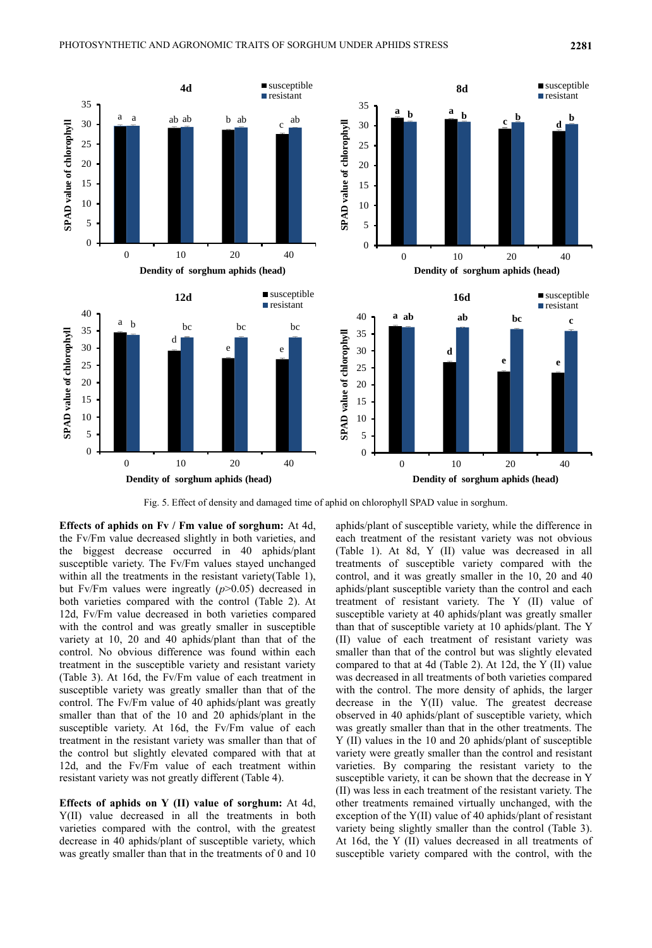

Fig. 5. Effect of density and damaged time of aphid on chlorophyll SPAD value in sorghum.

**Effects of aphids on Fv / Fm value of sorghum:** At 4d, the Fv/Fm value decreased slightly in both varieties, and the biggest decrease occurred in 40 aphids/plant susceptible variety. The Fv/Fm values stayed unchanged within all the treatments in the resistant variety(Table 1), but Fv/Fm values were ingreatly (*p*>0.05) decreased in both varieties compared with the control (Table 2). At 12d, Fv/Fm value decreased in both varieties compared with the control and was greatly smaller in susceptible variety at 10, 20 and 40 aphids/plant than that of the control. No obvious difference was found within each treatment in the susceptible variety and resistant variety (Table 3). At 16d, the Fv/Fm value of each treatment in susceptible variety was greatly smaller than that of the control. The Fv/Fm value of 40 aphids/plant was greatly smaller than that of the 10 and 20 aphids/plant in the susceptible variety. At 16d, the Fv/Fm value of each treatment in the resistant variety was smaller than that of the control but slightly elevated compared with that at 12d, and the Fv/Fm value of each treatment within resistant variety was not greatly different (Table 4).

**Effects of aphids on Y (II) value of sorghum:** At 4d, Y(II) value decreased in all the treatments in both varieties compared with the control, with the greatest decrease in 40 aphids/plant of susceptible variety, which was greatly smaller than that in the treatments of 0 and 10

aphids/plant of susceptible variety, while the difference in each treatment of the resistant variety was not obvious (Table 1). At 8d, Y (II) value was decreased in all treatments of susceptible variety compared with the control, and it was greatly smaller in the 10, 20 and 40 aphids/plant susceptible variety than the control and each treatment of resistant variety. The Y (II) value of susceptible variety at 40 aphids/plant was greatly smaller than that of susceptible variety at 10 aphids/plant. The Y (II) value of each treatment of resistant variety was smaller than that of the control but was slightly elevated compared to that at 4d (Table 2). At 12d, the Y (II) value was decreased in all treatments of both varieties compared with the control. The more density of aphids, the larger decrease in the Y(II) value. The greatest decrease observed in 40 aphids/plant of susceptible variety, which was greatly smaller than that in the other treatments. The Y (II) values in the 10 and 20 aphids/plant of susceptible variety were greatly smaller than the control and resistant varieties. By comparing the resistant variety to the susceptible variety, it can be shown that the decrease in Y (II) was less in each treatment of the resistant variety. The other treatments remained virtually unchanged, with the exception of the Y(II) value of 40 aphids/plant of resistant variety being slightly smaller than the control (Table 3). At 16d, the Y (II) values decreased in all treatments of susceptible variety compared with the control, with the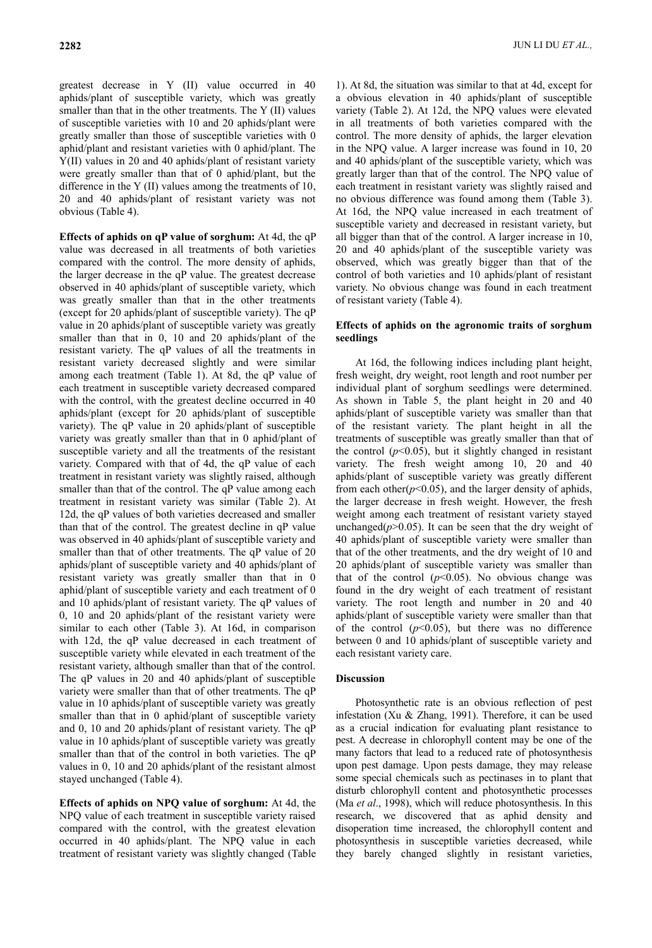greatest decrease in Y (II) value occurred in 40 aphids/plant of susceptible variety, which was greatly smaller than that in the other treatments. The Y (II) values of susceptible varieties with 10 and 20 aphids/plant were greatly smaller than those of susceptible varieties with 0 aphid/plant and resistant varieties with 0 aphid/plant. The Y(II) values in 20 and 40 aphids/plant of resistant variety were greatly smaller than that of 0 aphid/plant, but the difference in the Y (II) values among the treatments of 10, 20 and 40 aphids/plant of resistant variety was not obvious (Table 4).

**Effects of aphids on qP value of sorghum:** At 4d, the qP value was decreased in all treatments of both varieties compared with the control. The more density of aphids, the larger decrease in the qP value. The greatest decrease observed in 40 aphids/plant of susceptible variety, which was greatly smaller than that in the other treatments (except for 20 aphids/plant of susceptible variety). The qP value in 20 aphids/plant of susceptible variety was greatly smaller than that in 0, 10 and 20 aphids/plant of the resistant variety. The qP values of all the treatments in resistant variety decreased slightly and were similar among each treatment (Table 1). At 8d, the qP value of each treatment in susceptible variety decreased compared with the control, with the greatest decline occurred in 40 aphids/plant (except for 20 aphids/plant of susceptible variety). The qP value in 20 aphids/plant of susceptible variety was greatly smaller than that in 0 aphid/plant of susceptible variety and all the treatments of the resistant variety. Compared with that of 4d, the qP value of each treatment in resistant variety was slightly raised, although smaller than that of the control. The qP value among each treatment in resistant variety was similar (Table 2). At 12d, the qP values of both varieties decreased and smaller than that of the control. The greatest decline in qP value was observed in 40 aphids/plant of susceptible variety and smaller than that of other treatments. The qP value of 20 aphids/plant of susceptible variety and 40 aphids/plant of resistant variety was greatly smaller than that in 0 aphid/plant of susceptible variety and each treatment of 0 and 10 aphids/plant of resistant variety. The qP values of 0, 10 and 20 aphids/plant of the resistant variety were similar to each other (Table 3). At 16d, in comparison with 12d, the qP value decreased in each treatment of susceptible variety while elevated in each treatment of the resistant variety, although smaller than that of the control. The qP values in 20 and 40 aphids/plant of susceptible variety were smaller than that of other treatments. The qP value in 10 aphids/plant of susceptible variety was greatly smaller than that in 0 aphid/plant of susceptible variety and 0, 10 and 20 aphids/plant of resistant variety. The qP value in 10 aphids/plant of susceptible variety was greatly smaller than that of the control in both varieties. The qP values in 0, 10 and 20 aphids/plant of the resistant almost stayed unchanged (Table 4).

**Effects of aphids on NPQ value of sorghum:** At 4d, the NPQ value of each treatment in susceptible variety raised compared with the control, with the greatest elevation occurred in 40 aphids/plant. The NPQ value in each treatment of resistant variety was slightly changed (Table

1). At 8d, the situation was similar to that at 4d, except for a obvious elevation in 40 aphids/plant of susceptible variety (Table 2). At 12d, the NPQ values were elevated in all treatments of both varieties compared with the control. The more density of aphids, the larger elevation in the NPQ value. A larger increase was found in 10, 20 and 40 aphids/plant of the susceptible variety, which was greatly larger than that of the control. The NPQ value of each treatment in resistant variety was slightly raised and no obvious difference was found among them (Table 3). At 16d, the NPQ value increased in each treatment of susceptible variety and decreased in resistant variety, but all bigger than that of the control. A larger increase in 10, 20 and 40 aphids/plant of the susceptible variety was observed, which was greatly bigger than that of the control of both varieties and 10 aphids/plant of resistant variety. No obvious change was found in each treatment of resistant variety (Table 4).

### **Effects of aphids on the agronomic traits of sorghum seedlings**

At 16d, the following indices including plant height, fresh weight, dry weight, root length and root number per individual plant of sorghum seedlings were determined. As shown in Table 5, the plant height in 20 and 40 aphids/plant of susceptible variety was smaller than that of the resistant variety. The plant height in all the treatments of susceptible was greatly smaller than that of the control  $(p<0.05)$ , but it slightly changed in resistant variety. The fresh weight among 10, 20 and 40 aphids/plant of susceptible variety was greatly different from each other $(p<0.05)$ , and the larger density of aphids, the larger decrease in fresh weight. However, the fresh weight among each treatment of resistant variety stayed unchanged( $p$ >0.05). It can be seen that the dry weight of 40 aphids/plant of susceptible variety were smaller than that of the other treatments, and the dry weight of 10 and 20 aphids/plant of susceptible variety was smaller than that of the control  $(p<0.05)$ . No obvious change was found in the dry weight of each treatment of resistant variety. The root length and number in 20 and 40 aphids/plant of susceptible variety were smaller than that of the control  $(p<0.05)$ , but there was no difference between 0 and 10 aphids/plant of susceptible variety and each resistant variety care.

### **Discussion**

Photosynthetic rate is an obvious reflection of pest infestation (Xu & Zhang, 1991). Therefore, it can be used as a crucial indication for evaluating plant resistance to pest. A decrease in chlorophyll content may be one of the many factors that lead to a reduced rate of photosynthesis upon pest damage. Upon pests damage, they may release some special chemicals such as pectinases in to plant that disturb chlorophyll content and photosynthetic processes (Ma *et al*., 1998), which will reduce photosynthesis. In this research, we discovered that as aphid density and disoperation time increased, the chlorophyll content and photosynthesis in susceptible varieties decreased, while they barely changed slightly in resistant varieties,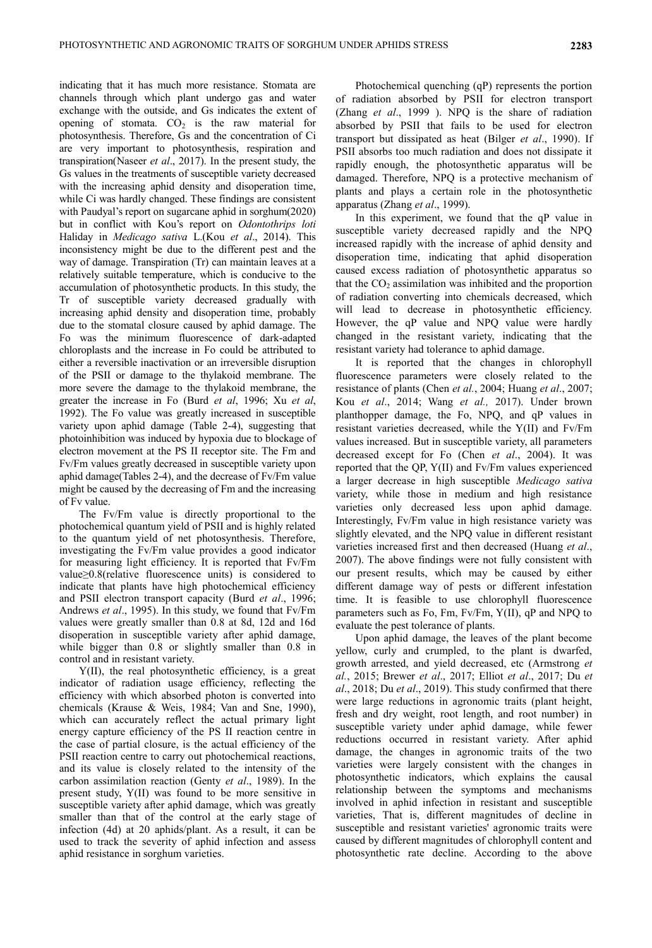indicating that it has much more resistance. Stomata are channels through which plant undergo gas and water exchange with the outside, and Gs indicates the extent of opening of stomata.  $CO<sub>2</sub>$  is the raw material for photosynthesis. Therefore, Gs and the concentration of Ci are very important to photosynthesis, respiration and transpiration(Naseer *et al*., 2017). In the present study, the Gs values in the treatments of susceptible variety decreased with the increasing aphid density and disoperation time, while Ci was hardly changed. These findings are consistent with Paudyal's report on sugarcane aphid in sorghum(2020) but in conflict with Kou's report on *Odontothrips loti*  Haliday in *Medicago sativa* L.(Kou *et al*., 2014). This inconsistency might be due to the different pest and the way of damage. Transpiration (Tr) can maintain leaves at a relatively suitable temperature, which is conducive to the accumulation of photosynthetic products. In this study, the Tr of susceptible variety decreased gradually with increasing aphid density and disoperation time, probably due to the stomatal closure caused by aphid damage. The Fo was the minimum fluorescence of dark-adapted chloroplasts and the increase in Fo could be attributed to either a reversible inactivation or an irreversible disruption of the PSII or damage to the thylakoid membrane. The more severe the damage to the thylakoid membrane, the greater the increase in Fo (Burd *et al*, 1996; Xu *et al*, 1992). The Fo value was greatly increased in susceptible variety upon aphid damage (Table 2-4), suggesting that photoinhibition was induced by hypoxia due to blockage of electron movement at the PS II receptor site. The Fm and Fv/Fm values greatly decreased in susceptible variety upon aphid damage(Tables 2-4), and the decrease of Fv/Fm value might be caused by the decreasing of Fm and the increasing of Fv value.

The Fv/Fm value is directly proportional to the photochemical quantum yield of PSII and is highly related to the quantum yield of net photosynthesis. Therefore, investigating the Fv/Fm value provides a good indicator for measuring light efficiency. It is reported that Fv/Fm value≥0.8(relative fluorescence units) is considered to indicate that plants have high photochemical efficiency and PSII electron transport capacity (Burd *et al*., 1996; Andrews *et al*., 1995). In this study, we found that Fv/Fm values were greatly smaller than 0.8 at 8d, 12d and 16d disoperation in susceptible variety after aphid damage, while bigger than 0.8 or slightly smaller than 0.8 in control and in resistant variety.

Y(II), the real photosynthetic efficiency, is a great indicator of radiation usage efficiency, reflecting the efficiency with which absorbed photon is converted into chemicals (Krause & Weis, 1984; Van and Sne, 1990), which can accurately reflect the actual primary light energy capture efficiency of the PS II reaction centre in the case of partial closure, is the actual efficiency of the PSII reaction centre to carry out photochemical reactions, and its value is closely related to the intensity of the carbon assimilation reaction (Genty *et al*., 1989). In the present study, Y(II) was found to be more sensitive in susceptible variety after aphid damage, which was greatly smaller than that of the control at the early stage of infection (4d) at 20 aphids/plant. As a result, it can be used to track the severity of aphid infection and assess aphid resistance in sorghum varieties.

Photochemical quenching (qP) represents the portion of radiation absorbed by PSII for electron transport (Zhang *et al*., 1999 ). NPQ is the share of radiation absorbed by PSII that fails to be used for electron transport but dissipated as heat (Bilger *et al*., 1990). If PSII absorbs too much radiation and does not dissipate it rapidly enough, the photosynthetic apparatus will be damaged. Therefore, NPQ is a protective mechanism of plants and plays a certain role in the photosynthetic apparatus (Zhang *et al*., 1999).

In this experiment, we found that the qP value in susceptible variety decreased rapidly and the NPQ increased rapidly with the increase of aphid density and disoperation time, indicating that aphid disoperation caused excess radiation of photosynthetic apparatus so that the  $CO<sub>2</sub>$  assimilation was inhibited and the proportion of radiation converting into chemicals decreased, which will lead to decrease in photosynthetic efficiency. However, the qP value and NPQ value were hardly changed in the resistant variety, indicating that the resistant variety had tolerance to aphid damage.

It is reported that the changes in chlorophyll fluorescence parameters were closely related to the resistance of plants (Chen *et al.*, 2004; Huang *et al*., 2007; Kou *et al*., 2014; Wang *et al.,* 2017). Under brown planthopper damage, the Fo, NPQ, and qP values in resistant varieties decreased, while the Y(II) and Fv/Fm values increased. But in susceptible variety, all parameters decreased except for Fo (Chen *et al*., 2004). It was reported that the QP, Y(II) and Fv/Fm values experienced a larger decrease in high susceptible *Medicago sativa* variety, while those in medium and high resistance varieties only decreased less upon aphid damage. Interestingly, Fv/Fm value in high resistance variety was slightly elevated, and the NPQ value in different resistant varieties increased first and then decreased (Huang *et al*., 2007). The above findings were not fully consistent with our present results, which may be caused by either different damage way of pests or different infestation time. It is feasible to use chlorophyll fluorescence parameters such as Fo, Fm, Fv/Fm, Y(II), qP and NPQ to evaluate the pest tolerance of plants.

Upon aphid damage, the leaves of the plant become yellow, curly and crumpled, to the plant is dwarfed, growth arrested, and yield decreased, etc (Armstrong *et al.*, 2015; Brewer *et al*., 2017; Elliot *et al*., 2017; Du *et al*., 2018; Du *et al*., 2019). This study confirmed that there were large reductions in agronomic traits (plant height, fresh and dry weight, root length, and root number) in susceptible variety under aphid damage, while fewer reductions occurred in resistant variety. After aphid damage, the changes in agronomic traits of the two varieties were largely consistent with the changes in photosynthetic indicators, which explains the causal relationship between the symptoms and mechanisms involved in aphid infection in resistant and susceptible varieties, That is, different magnitudes of decline in susceptible and resistant varieties' agronomic traits were caused by different magnitudes of chlorophyll content and photosynthetic rate decline. According to the above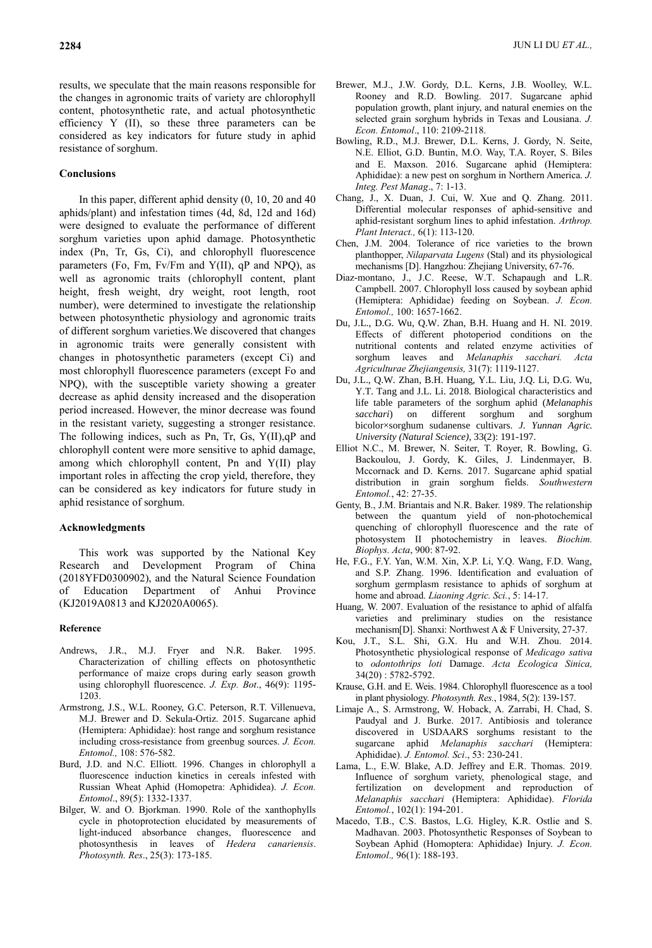results, we speculate that the main reasons responsible for the changes in agronomic traits of variety are chlorophyll content, photosynthetic rate, and actual photosynthetic efficiency Y (II), so these three parameters can be considered as key indicators for future study in aphid resistance of sorghum.

### **Conclusions**

In this paper, different aphid density (0, 10, 20 and 40 aphids/plant) and infestation times (4d, 8d, 12d and 16d) were designed to evaluate the performance of different sorghum varieties upon aphid damage. Photosynthetic index (Pn, Tr, Gs, Ci), and chlorophyll fluorescence parameters (Fo, Fm, Fv/Fm and Y(II), qP and NPQ), as well as agronomic traits (chlorophyll content, plant height, fresh weight, dry weight, root length, root number), were determined to investigate the relationship between photosynthetic physiology and agronomic traits of different sorghum varieties.We discovered that changes in agronomic traits were generally consistent with changes in photosynthetic parameters (except Ci) and most chlorophyll fluorescence parameters (except Fo and NPQ), with the susceptible variety showing a greater decrease as aphid density increased and the disoperation period increased. However, the minor decrease was found in the resistant variety, suggesting a stronger resistance. The following indices, such as Pn, Tr, Gs, Y(II),qP and chlorophyll content were more sensitive to aphid damage, among which chlorophyll content, Pn and Y(II) play important roles in affecting the crop yield, therefore, they can be considered as key indicators for future study in aphid resistance of sorghum.

#### **Acknowledgments**

This work was supported by the National Key Research and Development Program of China (2018YFD0300902), and the Natural Science Foundation of Education Department of Anhui Province (KJ2019A0813 and KJ2020A0065).

#### **Reference**

- Andrews, J.R., M.J. Fryer and N.R. Baker. 1995. Characterization of chilling effects on photosynthetic performance of maize crops during early season growth using chlorophyll fluorescence. *J. Exp. Bot*., 46(9): 1195- 1203.
- Armstrong, J.S., W.L. Rooney, G.C. Peterson, R.T. Villenueva, M.J. Brewer and D. Sekula-Ortiz. 2015. Sugarcane aphid (Hemiptera: Aphididae): host range and sorghum resistance including cross-resistance from greenbug sources. *J. Econ. Entomol.,* 108: 576-582.
- Burd, J.D. and N.C. Elliott. 1996. Changes in chlorophyll a fluorescence induction kinetics in cereals infested with Russian Wheat Aphid (Homopetra: Aphididea). *J. Econ. Entomol*., 89(5): 1332-1337.
- Bilger, W. and O. Bjorkman. 1990. Role of the xanthophylls cycle in photoprotection elucidated by measurements of light-induced absorbance changes, fluorescence and photosynthesis in leaves of *Hedera canariensis*. *Photosynth. Res*., 25(3): 173-185.
- Brewer, M.J., J.W. Gordy, D.L. Kerns, J.B. Woolley, W.L. Rooney and R.D. Bowling. 2017. Sugarcane aphid population growth, plant injury, and natural enemies on the selected grain sorghum hybrids in Texas and Lousiana. *J. Econ. Entomol*., 110: 2109-2118.
- Bowling, R.D., M.J. Brewer, D.L. Kerns, J. Gordy, N. Seite, N.E. Elliot, G.D. Buntin, M.O. Way, T.A. Royer, S. Biles and E. Maxson. 2016. Sugarcane aphid (Hemiptera: Aphididae): a new pest on sorghum in Northern America. *J. Integ. Pest Manag*., 7: 1-13.
- Chang, J., X. Duan, J. Cui, W. Xue and Q. Zhang. 2011. Differential molecular responses of aphid-sensitive and aphid-resistant sorghum lines to aphid infestation. *Arthrop. Plant Interact.,* 6(1): 113-120.
- Chen, J.M. 2004. Tolerance of rice varieties to the brown planthopper, *Nilaparvata Lugens* (Stal) and its physiological mechanisms [D]. Hangzhou: Zhejiang University, 67-76.
- Diaz-montano, J., J.C. Reese, W.T. Schapaugh and L.R. Campbell. 2007. Chlorophyll loss caused by soybean aphid (Hemiptera: Aphididae) feeding on Soybean. *J. Econ. Entomol.,* 100: 1657-1662.
- Du, J.L., D.G. Wu, Q.W. Zhan, B.H. Huang and H. NI. 2019. Effects of different photoperiod conditions on the nutritional contents and related enzyme activities of sorghum leaves and *Melanaphis sacchari. Acta Agriculturae Zhejiangensis,* 31(7): 1119-1127.
- Du, J.L., Q.W. Zhan, B.H. Huang, Y.L. Liu, J.Q. Li, D.G. Wu, Y.T. Tang and J.L. Li. 2018. Biological characteristics and life table parameters of the sorghum aphid (*Melanaphis sacchari*) on different sorghum and sorghum bicolor×sorghum sudanense cultivars. *J. Yunnan Agric. University (Natural Science)*, 33(2): 191-197.
- Elliot N.C., M. Brewer, N. Seiter, T. Royer, R. Bowling, G. Backoulou, J. Gordy, K. Giles, J. Lindenmayer, B. Mccornack and D. Kerns. 2017. Sugarcane aphid spatial distribution in grain sorghum fields. *Southwestern Entomol.*, 42: 27-35.
- Genty, B., J.M. Briantais and N.R. Baker. 1989. The relationship between the quantum yield of non-photochemical quenching of chlorophyll fluorescence and the rate of photosystem II photochemistry in leaves. *Biochim. Biophys. Acta*, 900: 87-92.
- He, F.G., F.Y. Yan, W.M. Xin, X.P. Li, Y.Q. Wang, F.D. Wang, and S.P. Zhang. 1996. Identification and evaluation of sorghum germplasm resistance to aphids of sorghum at home and abroad. *Liaoning Agric. Sci.*, 5: 14-17.
- Huang, W. 2007. Evaluation of the resistance to aphid of alfalfa varieties and preliminary studies on the resistance mechanism[D]. Shanxi: Northwest A & F University, 27-37.
- Kou, J.T., S.L. Shi, G.X. Hu and W.H. Zhou. 2014. Photosynthetic physiological response of *Medicago sativa* to *odontothrips loti* Damage. *Acta Ecologica Sinica,*  34(20) : 5782-5792.
- Krause, G.H. and E. Weis. 1984. Chlorophyll fluorescence as a tool in plant physiology. *Photosynth. Res.*, 1984, 5(2): 139-157.
- Limaje A., S. Armstrong, W. Hoback, A. Zarrabi, H. Chad, S. Paudyal and J. Burke. 2017. Antibiosis and tolerance discovered in USDAARS sorghums resistant to the sugarcane aphid *Melanaphis sacchari* (Hemiptera: Aphididae). *J. Entomol. Sci*., 53: 230-241.
- Lama, L., E.W. Blake, A.D. Jeffrey and E.R. Thomas. 2019. Influence of sorghum variety, phenological stage, and fertilization on development and reproduction of *Melanaphis sacchari* (Hemiptera: Aphididae). *Florida Entomol.*, 102(1): 194-201.
- Macedo, T.B., C.S. Bastos, L.G. Higley, K.R. Ostlie and S. Madhavan. 2003. Photosynthetic Responses of Soybean to Soybean Aphid (Homoptera: Aphididae) Injury. *J. Econ. Entomol*.*,* 96(1): 188-193.